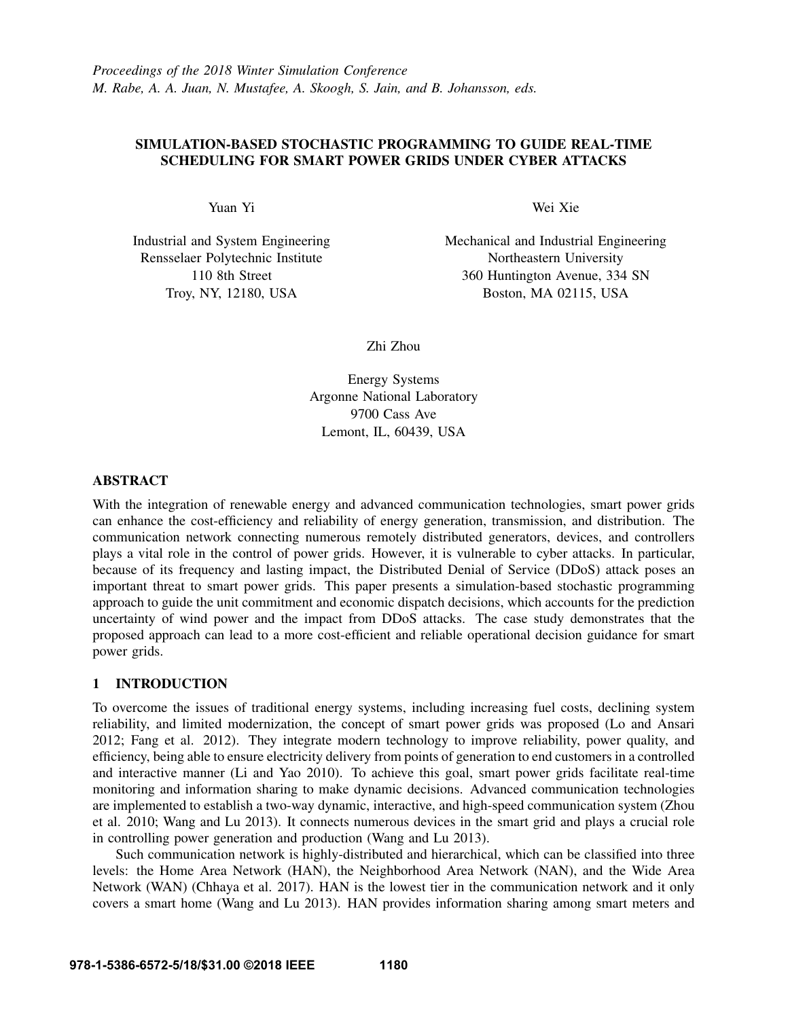# SIMULATION-BASED STOCHASTIC PROGRAMMING TO GUIDE REAL-TIME SCHEDULING FOR SMART POWER GRIDS UNDER CYBER ATTACKS

Yuan Yi

Industrial and System Engineering Rensselaer Polytechnic Institute 110 8th Street Troy, NY, 12180, USA

Wei Xie

Mechanical and Industrial Engineering Northeastern University 360 Huntington Avenue, 334 SN Boston, MA 02115, USA

Zhi Zhou

Energy Systems Argonne National Laboratory 9700 Cass Ave Lemont, IL, 60439, USA

# ABSTRACT

With the integration of renewable energy and advanced communication technologies, smart power grids can enhance the cost-efficiency and reliability of energy generation, transmission, and distribution. The communication network connecting numerous remotely distributed generators, devices, and controllers plays a vital role in the control of power grids. However, it is vulnerable to cyber attacks. In particular, because of its frequency and lasting impact, the Distributed Denial of Service (DDoS) attack poses an important threat to smart power grids. This paper presents a simulation-based stochastic programming approach to guide the unit commitment and economic dispatch decisions, which accounts for the prediction uncertainty of wind power and the impact from DDoS attacks. The case study demonstrates that the proposed approach can lead to a more cost-efficient and reliable operational decision guidance for smart power grids.

## 1 INTRODUCTION

To overcome the issues of traditional energy systems, including increasing fuel costs, declining system reliability, and limited modernization, the concept of smart power grids was proposed (Lo and Ansari 2012; Fang et al. 2012). They integrate modern technology to improve reliability, power quality, and efficiency, being able to ensure electricity delivery from points of generation to end customers in a controlled and interactive manner (Li and Yao 2010). To achieve this goal, smart power grids facilitate real-time monitoring and information sharing to make dynamic decisions. Advanced communication technologies are implemented to establish a two-way dynamic, interactive, and high-speed communication system (Zhou et al. 2010; Wang and Lu 2013). It connects numerous devices in the smart grid and plays a crucial role in controlling power generation and production (Wang and Lu 2013).

Such communication network is highly-distributed and hierarchical, which can be classified into three levels: the Home Area Network (HAN), the Neighborhood Area Network (NAN), and the Wide Area Network (WAN) (Chhaya et al. 2017). HAN is the lowest tier in the communication network and it only covers a smart home (Wang and Lu 2013). HAN provides information sharing among smart meters and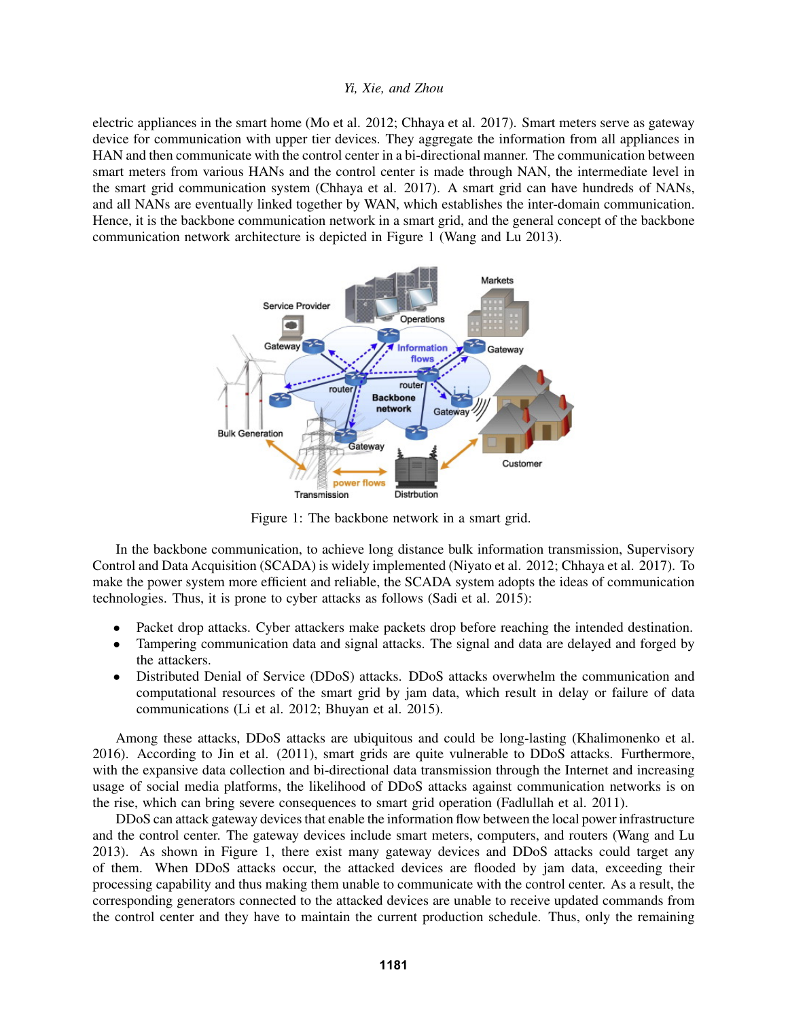electric appliances in the smart home (Mo et al. 2012; Chhaya et al. 2017). Smart meters serve as gateway device for communication with upper tier devices. They aggregate the information from all appliances in HAN and then communicate with the control center in a bi-directional manner. The communication between smart meters from various HANs and the control center is made through NAN, the intermediate level in the smart grid communication system (Chhaya et al. 2017). A smart grid can have hundreds of NANs, and all NANs are eventually linked together by WAN, which establishes the inter-domain communication. Hence, it is the backbone communication network in a smart grid, and the general concept of the backbone communication network architecture is depicted in Figure 1 (Wang and Lu 2013).



Figure 1: The backbone network in a smart grid.

In the backbone communication, to achieve long distance bulk information transmission, Supervisory Control and Data Acquisition (SCADA) is widely implemented (Niyato et al. 2012; Chhaya et al. 2017). To make the power system more efficient and reliable, the SCADA system adopts the ideas of communication technologies. Thus, it is prone to cyber attacks as follows (Sadi et al. 2015):

- Packet drop attacks. Cyber attackers make packets drop before reaching the intended destination.
- Tampering communication data and signal attacks. The signal and data are delayed and forged by the attackers.
- Distributed Denial of Service (DDoS) attacks. DDoS attacks overwhelm the communication and computational resources of the smart grid by jam data, which result in delay or failure of data communications (Li et al. 2012; Bhuyan et al. 2015).

Among these attacks, DDoS attacks are ubiquitous and could be long-lasting (Khalimonenko et al. 2016). According to Jin et al. (2011), smart grids are quite vulnerable to DDoS attacks. Furthermore, with the expansive data collection and bi-directional data transmission through the Internet and increasing usage of social media platforms, the likelihood of DDoS attacks against communication networks is on the rise, which can bring severe consequences to smart grid operation (Fadlullah et al. 2011).

DDoS can attack gateway devices that enable the information flow between the local power infrastructure and the control center. The gateway devices include smart meters, computers, and routers (Wang and Lu 2013). As shown in Figure 1, there exist many gateway devices and DDoS attacks could target any of them. When DDoS attacks occur, the attacked devices are flooded by jam data, exceeding their processing capability and thus making them unable to communicate with the control center. As a result, the corresponding generators connected to the attacked devices are unable to receive updated commands from the control center and they have to maintain the current production schedule. Thus, only the remaining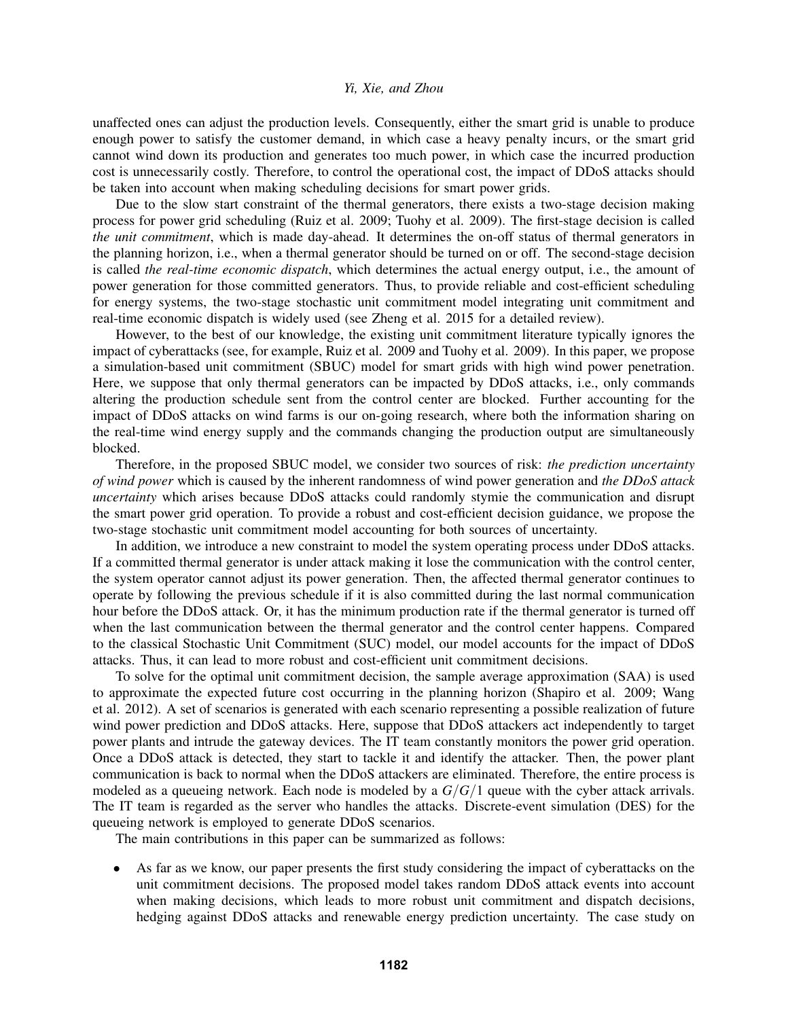unaffected ones can adjust the production levels. Consequently, either the smart grid is unable to produce enough power to satisfy the customer demand, in which case a heavy penalty incurs, or the smart grid cannot wind down its production and generates too much power, in which case the incurred production cost is unnecessarily costly. Therefore, to control the operational cost, the impact of DDoS attacks should be taken into account when making scheduling decisions for smart power grids.

Due to the slow start constraint of the thermal generators, there exists a two-stage decision making process for power grid scheduling (Ruiz et al. 2009; Tuohy et al. 2009). The first-stage decision is called *the unit commitment*, which is made day-ahead. It determines the on-off status of thermal generators in the planning horizon, i.e., when a thermal generator should be turned on or off. The second-stage decision is called *the real-time economic dispatch*, which determines the actual energy output, i.e., the amount of power generation for those committed generators. Thus, to provide reliable and cost-efficient scheduling for energy systems, the two-stage stochastic unit commitment model integrating unit commitment and real-time economic dispatch is widely used (see Zheng et al. 2015 for a detailed review).

However, to the best of our knowledge, the existing unit commitment literature typically ignores the impact of cyberattacks (see, for example, Ruiz et al. 2009 and Tuohy et al. 2009). In this paper, we propose a simulation-based unit commitment (SBUC) model for smart grids with high wind power penetration. Here, we suppose that only thermal generators can be impacted by DDoS attacks, i.e., only commands altering the production schedule sent from the control center are blocked. Further accounting for the impact of DDoS attacks on wind farms is our on-going research, where both the information sharing on the real-time wind energy supply and the commands changing the production output are simultaneously blocked.

Therefore, in the proposed SBUC model, we consider two sources of risk: *the prediction uncertainty of wind power* which is caused by the inherent randomness of wind power generation and *the DDoS attack uncertainty* which arises because DDoS attacks could randomly stymie the communication and disrupt the smart power grid operation. To provide a robust and cost-efficient decision guidance, we propose the two-stage stochastic unit commitment model accounting for both sources of uncertainty.

In addition, we introduce a new constraint to model the system operating process under DDoS attacks. If a committed thermal generator is under attack making it lose the communication with the control center, the system operator cannot adjust its power generation. Then, the affected thermal generator continues to operate by following the previous schedule if it is also committed during the last normal communication hour before the DDoS attack. Or, it has the minimum production rate if the thermal generator is turned off when the last communication between the thermal generator and the control center happens. Compared to the classical Stochastic Unit Commitment (SUC) model, our model accounts for the impact of DDoS attacks. Thus, it can lead to more robust and cost-efficient unit commitment decisions.

To solve for the optimal unit commitment decision, the sample average approximation (SAA) is used to approximate the expected future cost occurring in the planning horizon (Shapiro et al. 2009; Wang et al. 2012). A set of scenarios is generated with each scenario representing a possible realization of future wind power prediction and DDoS attacks. Here, suppose that DDoS attackers act independently to target power plants and intrude the gateway devices. The IT team constantly monitors the power grid operation. Once a DDoS attack is detected, they start to tackle it and identify the attacker. Then, the power plant communication is back to normal when the DDoS attackers are eliminated. Therefore, the entire process is modeled as a queueing network. Each node is modeled by a *G*/*G*/1 queue with the cyber attack arrivals. The IT team is regarded as the server who handles the attacks. Discrete-event simulation (DES) for the queueing network is employed to generate DDoS scenarios.

The main contributions in this paper can be summarized as follows:

As far as we know, our paper presents the first study considering the impact of cyberattacks on the unit commitment decisions. The proposed model takes random DDoS attack events into account when making decisions, which leads to more robust unit commitment and dispatch decisions, hedging against DDoS attacks and renewable energy prediction uncertainty. The case study on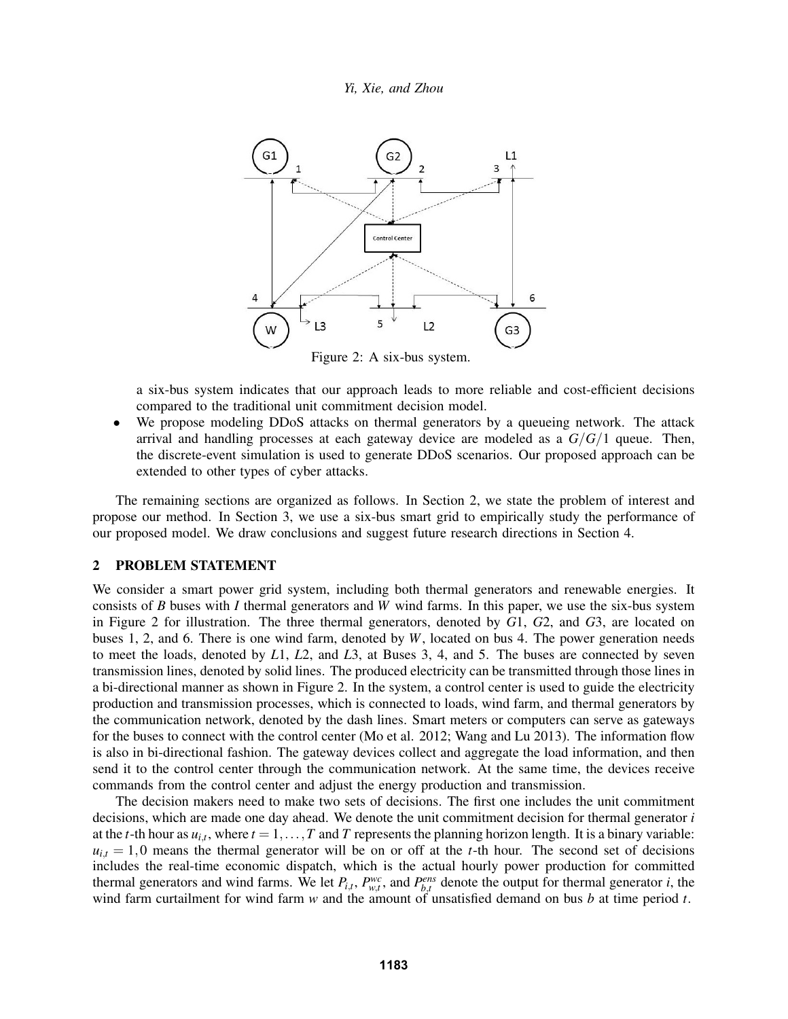

a six-bus system indicates that our approach leads to more reliable and cost-efficient decisions compared to the traditional unit commitment decision model.

We propose modeling DDoS attacks on thermal generators by a queueing network. The attack arrival and handling processes at each gateway device are modeled as a *G*/*G*/1 queue. Then, the discrete-event simulation is used to generate DDoS scenarios. Our proposed approach can be extended to other types of cyber attacks.

The remaining sections are organized as follows. In Section 2, we state the problem of interest and propose our method. In Section 3, we use a six-bus smart grid to empirically study the performance of our proposed model. We draw conclusions and suggest future research directions in Section 4.

## 2 PROBLEM STATEMENT

We consider a smart power grid system, including both thermal generators and renewable energies. It consists of *B* buses with *I* thermal generators and *W* wind farms. In this paper, we use the six-bus system in Figure 2 for illustration. The three thermal generators, denoted by *G*1, *G*2, and *G*3, are located on buses 1, 2, and 6. There is one wind farm, denoted by *W*, located on bus 4. The power generation needs to meet the loads, denoted by *L*1, *L*2, and *L*3, at Buses 3, 4, and 5. The buses are connected by seven transmission lines, denoted by solid lines. The produced electricity can be transmitted through those lines in a bi-directional manner as shown in Figure 2. In the system, a control center is used to guide the electricity production and transmission processes, which is connected to loads, wind farm, and thermal generators by the communication network, denoted by the dash lines. Smart meters or computers can serve as gateways for the buses to connect with the control center (Mo et al. 2012; Wang and Lu 2013). The information flow is also in bi-directional fashion. The gateway devices collect and aggregate the load information, and then send it to the control center through the communication network. At the same time, the devices receive commands from the control center and adjust the energy production and transmission.

The decision makers need to make two sets of decisions. The first one includes the unit commitment decisions, which are made one day ahead. We denote the unit commitment decision for thermal generator *i* at the *t*-th hour as  $u_{i,t}$ , where  $t = 1, \ldots, T$  and *T* represents the planning horizon length. It is a binary variable:  $u_{i,t} = 1,0$  means the thermal generator will be on or off at the *t*-th hour. The second set of decisions includes the real-time economic dispatch, which is the actual hourly power production for committed thermal generators and wind farms. We let  $P_{i,t}$ ,  $P_{w,t}^{wc}$ , and  $P_{b,t}^{ens}$  denote the output for thermal generator *i*, the wind farm curtailment for wind farm *w* and the amount of unsatisfied demand on bus *b* at time period *t*.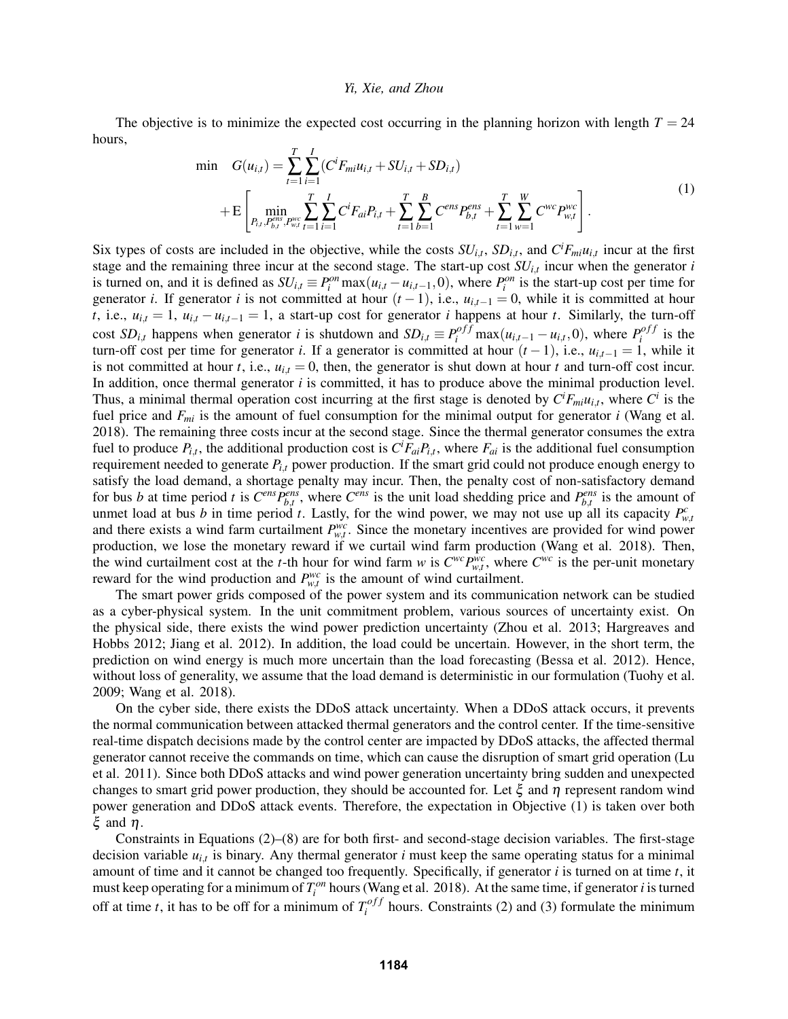The objective is to minimize the expected cost occurring in the planning horizon with length  $T = 24$ hours,

$$
\min \quad G(u_{i,t}) = \sum_{t=1}^{T} \sum_{i=1}^{I} (C^{i} F_{mi} u_{i,t} + S U_{i,t} + S D_{i,t}) \n+ \mathcal{E} \left[ \min_{P_{i,t}, P_{b,t}^{ens}} \sum_{r_{wt}}^{T} \sum_{t=1}^{I} \sum_{i=1}^{I} C^{i} F_{ai} P_{i,t} + \sum_{t=1}^{T} \sum_{b=1}^{B} C^{ens} P_{b,t}^{ens} + \sum_{t=1}^{T} \sum_{w=1}^{W} C^{wc} P_{w,t}^{wc} \right].
$$
\n(1)

Six types of costs are included in the objective, while the costs  $SU_{i,t}$ ,  $SD_{i,t}$ , and  $C^{i}F_{mi}u_{i,t}$  incur at the first stage and the remaining three incur at the second stage. The start-up cost *SUi*,*<sup>t</sup>* incur when the generator *i* is turned on, and it is defined as  $SU_{i,t} \equiv P_i^{on} \max(u_{i,t} - u_{i,t-1}, 0)$ , where  $P_i^{on}$  is the start-up cost per time for generator *i*. If generator *i* is not committed at hour  $(t-1)$ , i.e.,  $u_{i,t-1} = 0$ , while it is committed at hour *t*, i.e.,  $u_{i,t} = 1$ ,  $u_{i,t} - u_{i,t-1} = 1$ , a start-up cost for generator *i* happens at hour *t*. Similarly, the turn-off cost  $SD_{i,t}$  happens when generator *i* is shutdown and  $SD_{i,t} \equiv P_i^{off} \max(u_{i,t-1} - u_{i,t}, 0)$ , where  $P_i^{off}$  $\int_i^{o}$  is the turn-off cost per time for generator *i*. If a generator is committed at hour  $(t-1)$ , i.e.,  $u_{i,t-1} = 1$ , while it is not committed at hour *t*, i.e.,  $u_{i,t} = 0$ , then, the generator is shut down at hour *t* and turn-off cost incur. In addition, once thermal generator *i* is committed, it has to produce above the minimal production level. Thus, a minimal thermal operation cost incurring at the first stage is denoted by  $C<sup>i</sup>F<sub>mi</sub>u<sub>i,t</sub>$ , where  $C<sup>i</sup>$  is the fuel price and *Fmi* is the amount of fuel consumption for the minimal output for generator *i* (Wang et al. 2018). The remaining three costs incur at the second stage. Since the thermal generator consumes the extra fuel to produce  $P_{i,t}$ , the additional production cost is  $C^i F_{ai} P_{i,t}$ , where  $F_{ai}$  is the additional fuel consumption requirement needed to generate *Pi*,*<sup>t</sup>* power production. If the smart grid could not produce enough energy to satisfy the load demand, a shortage penalty may incur. Then, the penalty cost of non-satisfactory demand for bus *b* at time period *t* is  $C^{ens}P_{b,t}^{ens}$ , where  $C^{ens}$  is the unit load shedding price and  $P_{b,t}^{ens}$  is the amount of unmet load at bus *b* in time period *t*. Lastly, for the wind power, we may not use up all its capacity  $P_{w,t}^c$ and there exists a wind farm curtailment  $P_{w,t}^{wc}$ . Since the monetary incentives are provided for wind power production, we lose the monetary reward if we curtail wind farm production (Wang et al. 2018). Then, the wind curtailment cost at the *t*-th hour for wind farm *w* is  $C^{wc}P^{wc}_{w,t}$ , where  $C^{wc}$  is the per-unit monetary reward for the wind production and  $P_{w,t}^{wc}$  is the amount of wind curtailment.

The smart power grids composed of the power system and its communication network can be studied as a cyber-physical system. In the unit commitment problem, various sources of uncertainty exist. On the physical side, there exists the wind power prediction uncertainty (Zhou et al. 2013; Hargreaves and Hobbs 2012; Jiang et al. 2012). In addition, the load could be uncertain. However, in the short term, the prediction on wind energy is much more uncertain than the load forecasting (Bessa et al. 2012). Hence, without loss of generality, we assume that the load demand is deterministic in our formulation (Tuohy et al. 2009; Wang et al. 2018).

On the cyber side, there exists the DDoS attack uncertainty. When a DDoS attack occurs, it prevents the normal communication between attacked thermal generators and the control center. If the time-sensitive real-time dispatch decisions made by the control center are impacted by DDoS attacks, the affected thermal generator cannot receive the commands on time, which can cause the disruption of smart grid operation (Lu et al. 2011). Since both DDoS attacks and wind power generation uncertainty bring sudden and unexpected changes to smart grid power production, they should be accounted for. Let  $\xi$  and  $\eta$  represent random wind power generation and DDoS attack events. Therefore, the expectation in Objective (1) is taken over both ξ and η.

Constraints in Equations (2)–(8) are for both first- and second-stage decision variables. The first-stage decision variable *ui*,*<sup>t</sup>* is binary. Any thermal generator *i* must keep the same operating status for a minimal amount of time and it cannot be changed too frequently. Specifically, if generator *i* is turned on at time *t*, it must keep operating for a minimum of  $T_i^{on}$  hours (Wang et al. 2018). At the same time, if generator *i* is turned off at time *t*, it has to be off for a minimum of  $T_i^{off}$  $i$ <sup>off t</sup> hours. Constraints (2) and (3) formulate the minimum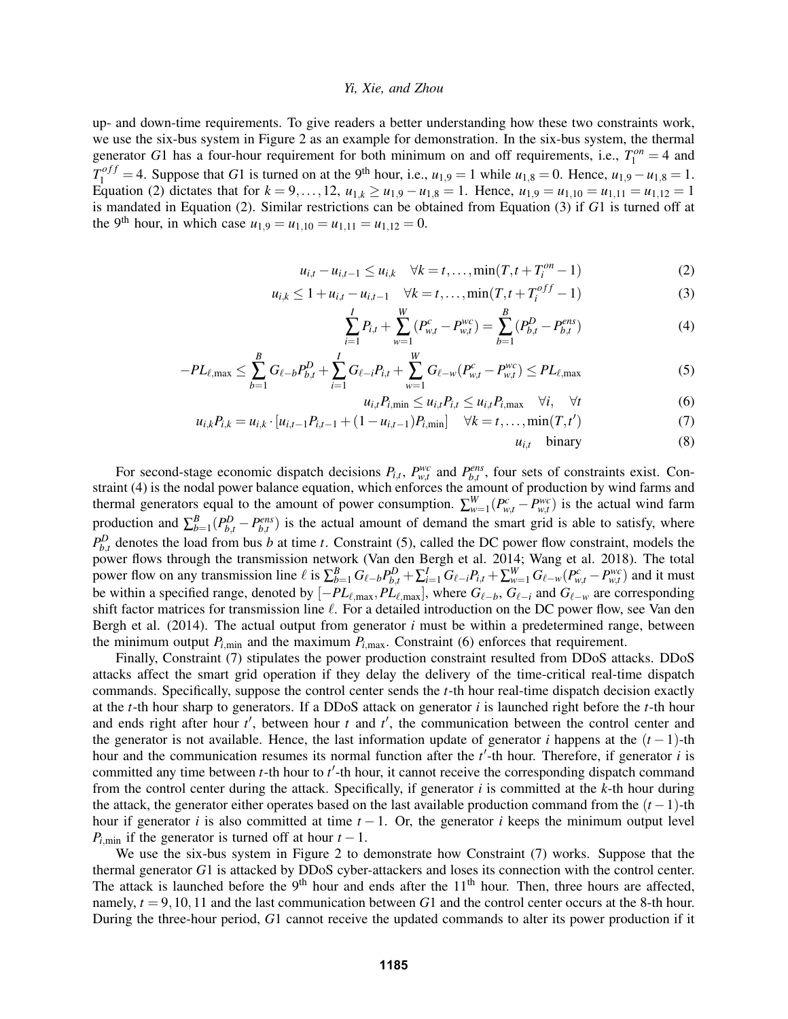up- and down-time requirements. To give readers a better understanding how these two constraints work, we use the six-bus system in Figure 2 as an example for demonstration. In the six-bus system, the thermal generator *G*1 has a four-hour requirement for both minimum on and off requirements, i.e.,  $T_1^{on} = 4$  and  $T_1^{off} = 4$ . Suppose that *G*1 is turned on at the 9<sup>th</sup> hour, i.e.,  $u_{1,9} = 1$  while  $u_{1,8} = 0$ . Hence,  $u_{1,9} - u_{1,8} = 1$ . Equation (2) dictates that for  $k = 9, ..., 12, u_{1,k} \ge u_{1,9} - u_{1,8} = 1$ . Hence,  $u_{1,9} = u_{1,10} = u_{1,11} = u_{1,12} = 1$ is mandated in Equation (2). Similar restrictions can be obtained from Equation (3) if *G*1 is turned off at the 9<sup>th</sup> hour, in which case  $u_{1,9} = u_{1,10} = u_{1,11} = u_{1,12} = 0$ .

$$
u_{i,t} - u_{i,t-1} \le u_{i,k} \quad \forall k = t, ..., \min(T, t + T_i^{on} - 1)
$$
 (2)

$$
u_{i,k} \le 1 + u_{i,t} - u_{i,t-1} \quad \forall k = t, \dots, \min(T, t + T_i^{off} - 1)
$$
 (3)

$$
\sum_{i=1}^{I} P_{i,t} + \sum_{w=1}^{W} (P_{w,t}^{c} - P_{w,t}^{wc}) = \sum_{b=1}^{B} (P_{b,t}^{D} - P_{b,t}^{ens})
$$
(4)

$$
-PL_{\ell,\max} \leq \sum_{b=1}^{B} G_{\ell-b} P_{b,t}^{D} + \sum_{i=1}^{I} G_{\ell-i} P_{i,t} + \sum_{w=1}^{W} G_{\ell-w} (P_{w,t}^{c} - P_{w,t}^{wc}) \leq PL_{\ell,\max}
$$
(5)

$$
u_{i,t}P_{i,\min} \le u_{i,t}P_{i,t} \le u_{i,t}P_{i,\max} \quad \forall i, \quad \forall t \tag{6}
$$

$$
u_{i,k}P_{i,k} = u_{i,k} \cdot [u_{i,t-1}P_{i,t-1} + (1 - u_{i,t-1})P_{i,\min}] \quad \forall k = t, \dots, \min(T, t')
$$
 (7)

 $u_{i,t}$  binary (8)

For second-stage economic dispatch decisions  $P_{i,t}$ ,  $P_{w,t}^{wc}$  and  $P_{b,t}^{ens}$ , four sets of constraints exist. Constraint (4) is the nodal power balance equation, which enforces the amount of production by wind farms and thermal generators equal to the amount of power consumption.  $\sum_{w=1}^{W} (P_{w,t}^c - P_{w,t}^{wc})$  is the actual wind farm production and  $\sum_{b=1}^{B} (P_{b,t}^D - P_{b,t}^{ens})$  is the actual amount of demand the smart grid is able to satisfy, where  $P_{b,t}^D$  denotes the load from bus *b* at time *t*. Constraint (5), called the DC power flow constraint, models the power flows through the transmission network (Van den Bergh et al. 2014; Wang et al. 2018). The total power flow on any transmission line  $\ell$  is  $\sum_{b=1}^B G_{\ell-b} P_{b,t}^D + \sum_{i=1}^I G_{\ell-i} P_{i,t} + \sum_{w=1}^W G_{\ell-w} (P_{w,t}^c - P_{w,t}^{wc})$  and it must be within a specified range, denoted by  $[-PL_{\ell,\text{max}},PL_{\ell,\text{max}}]$ , where  $G_{\ell-b}$ ,  $G_{\ell-i}$  and  $G_{\ell-w}$  are corresponding shift factor matrices for transmission line  $\ell$ . For a detailed introduction on the DC power flow, see Van den Bergh et al. (2014). The actual output from generator *i* must be within a predetermined range, between the minimum output  $P_{i,\text{min}}$  and the maximum  $P_{i,\text{max}}$ . Constraint (6) enforces that requirement.

Finally, Constraint (7) stipulates the power production constraint resulted from DDoS attacks. DDoS attacks affect the smart grid operation if they delay the delivery of the time-critical real-time dispatch commands. Specifically, suppose the control center sends the *t*-th hour real-time dispatch decision exactly at the *t*-th hour sharp to generators. If a DDoS attack on generator *i* is launched right before the *t*-th hour and ends right after hour  $t'$ , between hour  $t$  and  $t'$ , the communication between the control center and the generator is not available. Hence, the last information update of generator *i* happens at the  $(t-1)$ -th hour and the communication resumes its normal function after the *t*'-th hour. Therefore, if generator *i* is committed any time between  $t$ -th hour to  $t'$ -th hour, it cannot receive the corresponding dispatch command from the control center during the attack. Specifically, if generator *i* is committed at the *k*-th hour during the attack, the generator either operates based on the last available production command from the (*t* −1)-th hour if generator *i* is also committed at time  $t - 1$ . Or, the generator *i* keeps the minimum output level  $P$ <sup>*i*</sup>,min</sub> if the generator is turned off at hour  $t - 1$ .

We use the six-bus system in Figure 2 to demonstrate how Constraint (7) works. Suppose that the thermal generator *G*1 is attacked by DDoS cyber-attackers and loses its connection with the control center. The attack is launched before the  $9<sup>th</sup>$  hour and ends after the  $11<sup>th</sup>$  hour. Then, three hours are affected, namely, *t* = 9,10,11 and the last communication between *G*1 and the control center occurs at the 8-th hour. During the three-hour period, *G*1 cannot receive the updated commands to alter its power production if it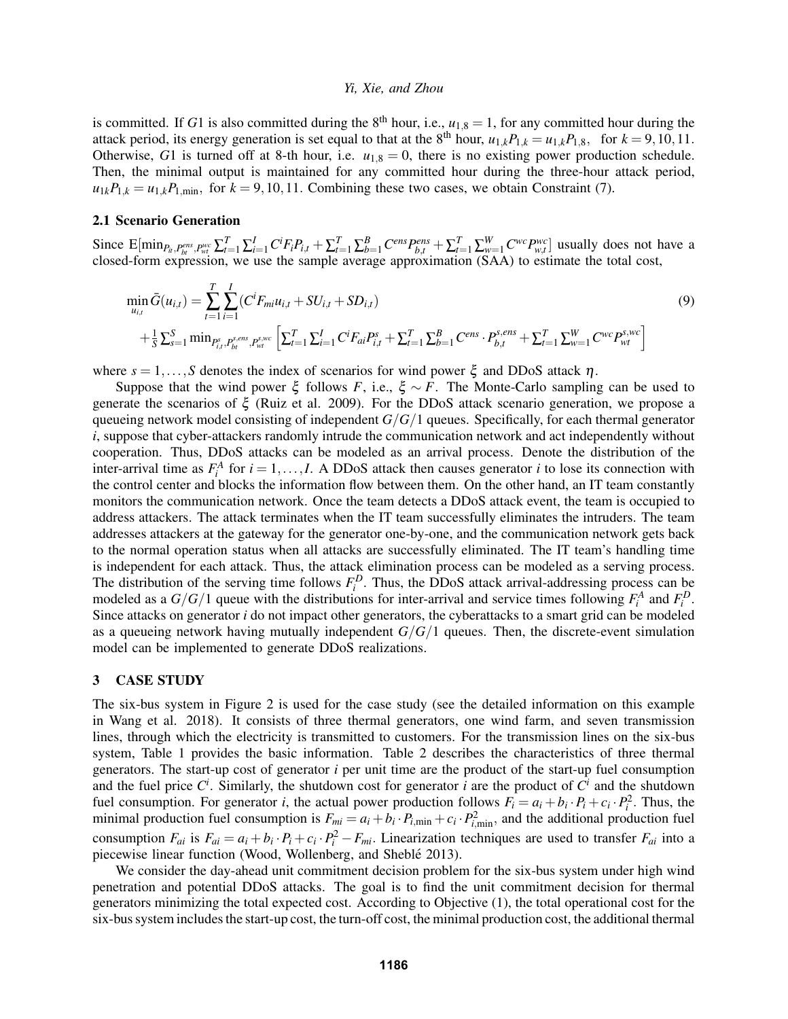is committed. If *G*1 is also committed during the 8<sup>th</sup> hour, i.e.,  $u_{1,8} = 1$ , for any committed hour during the attack period, its energy generation is set equal to that at the 8<sup>th</sup> hour,  $u_{1,k}P_{1,k} = u_{1,k}P_{1,8}$ , for  $k = 9,10,11$ . Otherwise, *G*1 is turned off at 8-th hour, i.e.  $u_{1,8} = 0$ , there is no existing power production schedule. Then, the minimal output is maintained for any committed hour during the three-hour attack period,  $u_{1k}P_{1,k} = u_{1,k}P_{1,\text{min}}$ , for  $k = 9,10,11$ . Combining these two cases, we obtain Constraint (7).

# 2.1 Scenario Generation

Since  $E[\min_{P_{it},P_{bt}^{ens},P_{wt}^{wc}} \sum_{t=1}^{T} \sum_{i=1}^{I} C^{i} F_{i} P_{i,t} + \sum_{t=1}^{T} \sum_{b=1}^{B} C^{ens} P_{b,t}^{ens} + \sum_{t=1}^{T} \sum_{w=1}^{W} C^{wc} P_{w,t}^{wc}]$  usually does not have a closed-form expression, we use the sample average approximation (SAA) to estimate the total cost,

$$
\min_{u_{i,t}} \bar{G}(u_{i,t}) = \sum_{t=1}^{T} \sum_{i=1}^{I} (C^{i}F_{mi}u_{i,t} + SU_{i,t} + SD_{i,t})
$$
\n
$$
+ \frac{1}{S} \sum_{s=1}^{S} \min_{P_{i,t}^{s}, P_{bt}^{s,ev}} \sum_{r_{vt}^{s}} \left[ \sum_{t=1}^{T} \sum_{i=1}^{I} C^{i}F_{ai}P_{i,t}^{s} + \sum_{t=1}^{T} \sum_{b=1}^{B} C^{ens} \cdot P_{b,t}^{s,ens} + \sum_{t=1}^{T} \sum_{w=1}^{W} C^{wc} P_{wt}^{s,wc} \right]
$$
\n(9)

where  $s = 1, \ldots, S$  denotes the index of scenarios for wind power  $\xi$  and DDoS attack  $\eta$ .

Suppose that the wind power  $\xi$  follows *F*, i.e.,  $\xi \sim F$ . The Monte-Carlo sampling can be used to generate the scenarios of ξ (Ruiz et al. 2009). For the DDoS attack scenario generation, we propose a queueing network model consisting of independent *G*/*G*/1 queues. Specifically, for each thermal generator *i*, suppose that cyber-attackers randomly intrude the communication network and act independently without cooperation. Thus, DDoS attacks can be modeled as an arrival process. Denote the distribution of the inter-arrival time as  $F_i^A$  for  $i = 1, ..., I$ . A DDoS attack then causes generator *i* to lose its connection with the control center and blocks the information flow between them. On the other hand, an IT team constantly monitors the communication network. Once the team detects a DDoS attack event, the team is occupied to address attackers. The attack terminates when the IT team successfully eliminates the intruders. The team addresses attackers at the gateway for the generator one-by-one, and the communication network gets back to the normal operation status when all attacks are successfully eliminated. The IT team's handling time is independent for each attack. Thus, the attack elimination process can be modeled as a serving process. The distribution of the serving time follows  $F_i^D$ . Thus, the DDoS attack arrival-addressing process can be modeled as a  $G/G/1$  queue with the distributions for inter-arrival and service times following  $F_i^A$  and  $F_i^D$ . Since attacks on generator *i* do not impact other generators, the cyberattacks to a smart grid can be modeled as a queueing network having mutually independent  $G/G/1$  queues. Then, the discrete-event simulation model can be implemented to generate DDoS realizations.

#### 3 CASE STUDY

The six-bus system in Figure 2 is used for the case study (see the detailed information on this example in Wang et al. 2018). It consists of three thermal generators, one wind farm, and seven transmission lines, through which the electricity is transmitted to customers. For the transmission lines on the six-bus system, Table 1 provides the basic information. Table 2 describes the characteristics of three thermal generators. The start-up cost of generator *i* per unit time are the product of the start-up fuel consumption and the fuel price  $C^i$ . Similarly, the shutdown cost for generator *i* are the product of  $C^i$  and the shutdown fuel consumption. For generator *i*, the actual power production follows  $F_i = a_i + b_i \cdot P_i + c_i \cdot P_i^2$ . Thus, the minimal production fuel consumption is  $F_{mi} = a_i + b_i \cdot P_{i,\text{min}} + c_i \cdot P_{i,\text{min}}^2$ , and the additional production fuel consumption  $F_{ai}$  is  $F_{ai} = a_i + b_i \cdot P_i + c_i \cdot P_i^2 - F_{mi}$ . Linearization techniques are used to transfer  $F_{ai}$  into a piecewise linear function (Wood, Wollenberg, and Sheblé 2013).

We consider the day-ahead unit commitment decision problem for the six-bus system under high wind penetration and potential DDoS attacks. The goal is to find the unit commitment decision for thermal generators minimizing the total expected cost. According to Objective (1), the total operational cost for the six-bus system includes the start-up cost, the turn-off cost, the minimal production cost, the additional thermal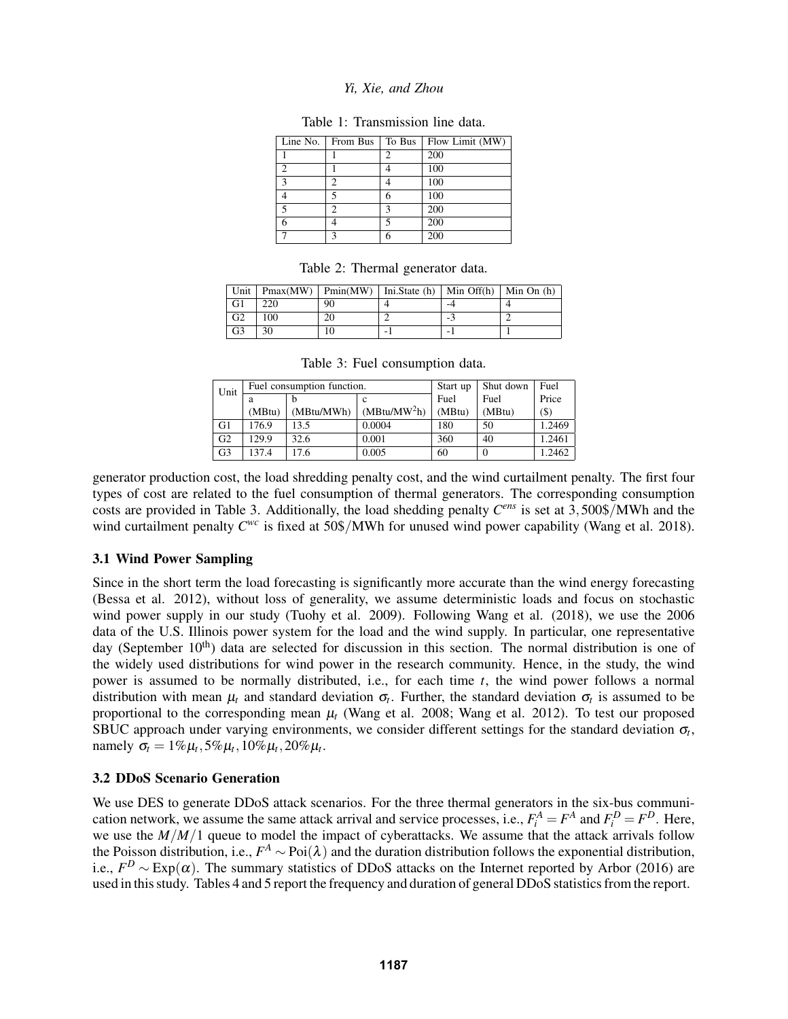| Line No.    | From Bus | To Bus | Flow Limit (MW) |
|-------------|----------|--------|-----------------|
|             |          |        | 200             |
| 2           |          |        | 100             |
| $\mathbf 3$ | っ        |        | 100             |
|             |          | 6      | 100             |
|             | っ        | ٩      | 200             |
|             |          |        | 200             |
|             | κ        | 6      | 200             |

Table 1: Transmission line data.

|  |  | Table 2: Thermal generator data. |  |
|--|--|----------------------------------|--|
|--|--|----------------------------------|--|

|                |     |    | Unit   Pmax(MW)   Pmin(MW)   Ini. State (h)   Min Off(h)   Min On (h) |     |  |
|----------------|-----|----|-----------------------------------------------------------------------|-----|--|
| G1             | 220 | 90 |                                                                       |     |  |
| G <sub>2</sub> | 100 | 20 |                                                                       | - 7 |  |
| G <sub>3</sub> | 30  |    |                                                                       |     |  |

|  | Table 3: Fuel consumption data. |  |
|--|---------------------------------|--|
|--|---------------------------------|--|

| Unit           |        | Fuel consumption function. |                | Start up | Shut down | Fuel   |
|----------------|--------|----------------------------|----------------|----------|-----------|--------|
|                | a      |                            | c              | Fuel     | Fuel      | Price  |
|                | (MBtu) | (MBtu/MWh)                 | $(MBtu/MW^2h)$ | (MBtu)   | (MBtu)    | $($)$  |
| G1             | 176.9  | 13.5                       | 0.0004         | 180      | 50        | 1.2469 |
| G <sub>2</sub> | 129.9  | 32.6                       | 0.001          | 360      | 40        | 1.2461 |
| G <sub>3</sub> | 137.4  | 17.6                       | 0.005          | 60       |           | 1.2462 |

generator production cost, the load shredding penalty cost, and the wind curtailment penalty. The first four types of cost are related to the fuel consumption of thermal generators. The corresponding consumption costs are provided in Table 3. Additionally, the load shedding penalty *C ens* is set at 3,500\$/MWh and the wind curtailment penalty  $C^{wc}$  is fixed at 50\$/MWh for unused wind power capability (Wang et al. 2018).

# 3.1 Wind Power Sampling

Since in the short term the load forecasting is significantly more accurate than the wind energy forecasting (Bessa et al. 2012), without loss of generality, we assume deterministic loads and focus on stochastic wind power supply in our study (Tuohy et al. 2009). Following Wang et al. (2018), we use the 2006 data of the U.S. Illinois power system for the load and the wind supply. In particular, one representative day (September  $10<sup>th</sup>$ ) data are selected for discussion in this section. The normal distribution is one of the widely used distributions for wind power in the research community. Hence, in the study, the wind power is assumed to be normally distributed, i.e., for each time *t*, the wind power follows a normal distribution with mean  $\mu_t$  and standard deviation  $\sigma_t$ . Further, the standard deviation  $\sigma_t$  is assumed to be proportional to the corresponding mean  $\mu$ <sup>t</sup> (Wang et al. 2008; Wang et al. 2012). To test our proposed SBUC approach under varying environments, we consider different settings for the standard deviation  $\sigma_t$ , namely  $\sigma_t = 1\% \mu_t, 5\% \mu_t, 10\% \mu_t, 20\% \mu_t$ .

# 3.2 DDoS Scenario Generation

We use DES to generate DDoS attack scenarios. For the three thermal generators in the six-bus communication network, we assume the same attack arrival and service processes, i.e.,  $F_i^A = F^A$  and  $F_i^D = F^D$ . Here, we use the *M*/*M*/1 queue to model the impact of cyberattacks. We assume that the attack arrivals follow the Poisson distribution, i.e.,  $F^A \sim \text{Poi}(\lambda)$  and the duration distribution follows the exponential distribution, i.e.,  $F^D \sim \text{Exp}(\alpha)$ . The summary statistics of DDoS attacks on the Internet reported by Arbor (2016) are used in this study. Tables 4 and 5 report the frequency and duration of general DDoS statistics from the report.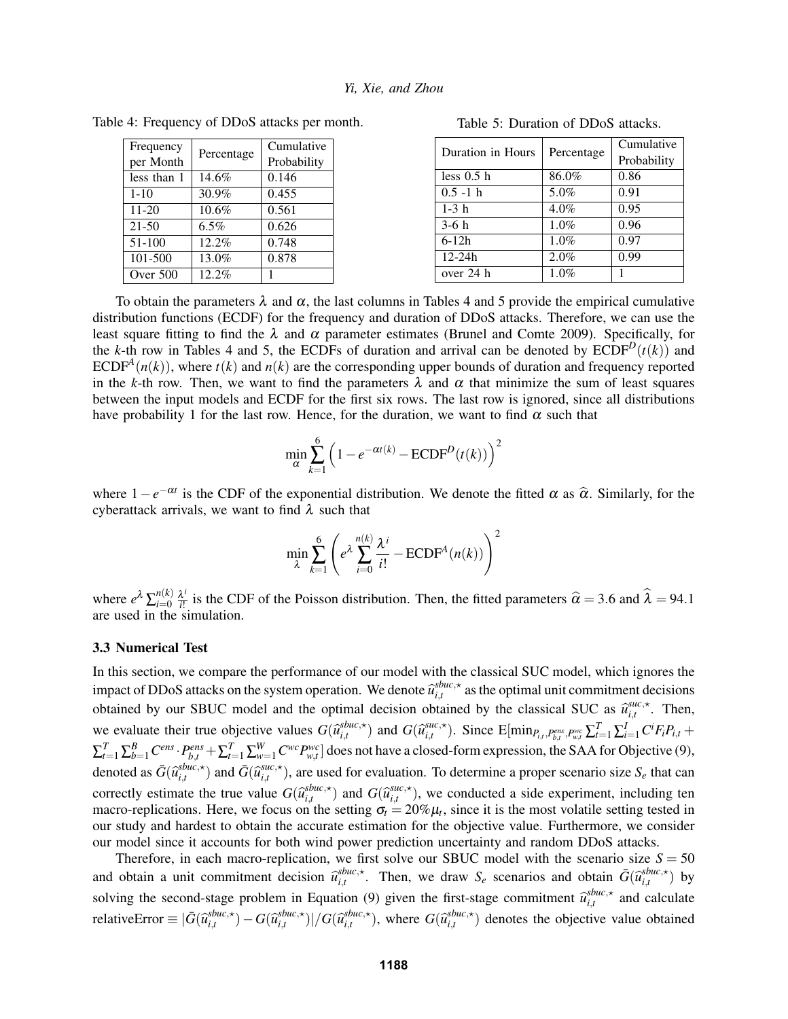| Frequency   |            | Cumulative  |
|-------------|------------|-------------|
| per Month   | Percentage | Probability |
| less than 1 | 14.6%      | 0.146       |
| $1 - 10$    | 30.9%      | 0.455       |
| $11 - 20$   | 10.6%      | 0.561       |
| $21 - 50$   | $6.5\%$    | 0.626       |
| 51-100      | 12.2%      | 0.748       |
| 101-500     | 13.0%      | 0.878       |
| Over 500    | 12.2%      |             |

| Table 4: Frequency of DDoS attacks per month. |  |
|-----------------------------------------------|--|
|-----------------------------------------------|--|

| Duration in Hours |            | Cumulative  |
|-------------------|------------|-------------|
|                   | Percentage | Probability |
| less 0.5 h        | 86.0%      | 0.86        |
| $0.5 - 1 h$       | 5.0%       | 0.91        |
| $1-3h$            | 4.0%       | 0.95        |
| $3-6h$            | 1.0%       | 0.96        |
| $6-12h$           | 1.0%       | 0.97        |

 $12-24h$  2.0% 0.99 over 24 h  $1.0\%$  1

Table 5: Duration of DDoS attacks.

To obtain the parameters  $\lambda$  and  $\alpha$ , the last columns in Tables 4 and 5 provide the empirical cumulative distribution functions (ECDF) for the frequency and duration of DDoS attacks. Therefore, we can use the least square fitting to find the  $\lambda$  and  $\alpha$  parameter estimates (Brunel and Comte 2009). Specifically, for the *k*-th row in Tables 4 and 5, the ECDFs of duration and arrival can be denoted by  $\text{ECDF}^D(t(k))$  and ECDF<sup>A</sup> $(n(k))$ , where  $t(k)$  and  $n(k)$  are the corresponding upper bounds of duration and frequency reported in the *k*-th row. Then, we want to find the parameters  $\lambda$  and  $\alpha$  that minimize the sum of least squares between the input models and ECDF for the first six rows. The last row is ignored, since all distributions have probability 1 for the last row. Hence, for the duration, we want to find  $\alpha$  such that

$$
\min_{\alpha} \sum_{k=1}^{6} \left( 1 - e^{-\alpha t(k)} - \text{ECDF}^{D}(t(k)) \right)^{2}
$$

where  $1-e^{-\alpha t}$  is the CDF of the exponential distribution. We denote the fitted  $\alpha$  as  $\hat{\alpha}$ . Similarly, for the exponentials use wont to find  $\lambda$  such that cyberattack arrivals, we want to find  $\lambda$  such that

$$
\min_{\lambda} \sum_{k=1}^{6} \left( e^{\lambda} \sum_{i=0}^{n(k)} \frac{\lambda^{i}}{i!} - \text{ECDF}^{A}(n(k)) \right)^{2}
$$

where  $e^{\lambda} \sum_{i=0}^{n(k)}$  $n(k)$   $\lambda^{i}$ <br>*i*=0 *i*!  $\hat{a}^i$  is the CDF of the Poisson distribution. Then, the fitted parameters  $\hat{\alpha} = 3.6$  and  $\lambda = 94.1$ are used in the simulation.

#### 3.3 Numerical Test

In this section, we compare the performance of our model with the classical SUC model, which ignores the impact of DDoS attacks on the system operation. We denote  $\hat{u}_{i,t}^{sbuc,*}$  $\sum_{i,t}^{source,*}$  as the optimal unit commitment decisions obtained by our SBUC model and the optimal decision obtained by the classical SUC as  $\hat{u}_{i,t}^{suc,*}$  $\sum_{i,t}^{SUC,\star}$ . Then, we evaluate their true objective values  $G(\hat{u}_{i,t}^{stuc, \star})$  $\sum_{i,t}^{sbuc,\star}$ ) and  $G(\widehat{u}_{i,t}^{suc,\star})$  ${}_{i,t}^{suc,\star}$ ). Since  $\text{E}[\min_{P_{i,t}, P_{b,t}^{ens}, P_{w,t}^{wc}}\sum_{t=1}^{T}\sum_{i=1}^{I}C^{i}F_{i}P_{i,t} +$  $\sum_{t=1}^T\sum_{b=1}^B C^{ens} \cdot P_{b,t}^{ens} + \sum_{t=1}^T\sum_{w=1}^W C^{wc} P_{w,t}^{wc}$ ] does not have a closed-form expression, the SAA for Objective (9), denoted as  $\bar{G}(\widehat{u}_{i,t}^{shuc,\star})$  $\sum_{i,t}^{sbuc,\star}$ ) and  $\bar{G}(\widehat{u}_{i,t}^{suc,\star})$  $\int_{i,t}^{SHC,\star}$ ), are used for evaluation. To determine a proper scenario size  $S_e$  that can correctly estimate the true value  $G(\hat{u}_{i,t}^{sbuc,\star})$ <br>macro-replications. Here, we focus on the  $\begin{cases} \sum_{i,t}^{shuc,\star} \\ \text{and} \ G(\widehat{u}_{i,t}^{suc,\star}) \end{cases}$  and  $G(\widehat{u}_{i,t}^{suc,\star})$  ${}_{i,t}^{suc,\star}$ ), we conducted a side experiment, including ten macro-replications. Here, we focus on the setting  $\sigma_t = 20\% \mu_t$ , since it is the most volatile setting tested in our study and hardest to obtain the accurate estimation for the objective value. Furthermore, we consider our model since it accounts for both wind power prediction uncertainty and random DDoS attacks.

Therefore, in each macro-replication, we first solve our SBUC model with the scenario size  $S = 50$ and obtain a unit commitment decision  $\widehat{u}_{i,t}^{sbuc,*}$  $\vec{f}_{i,t}$ . Then, we draw  $S_e$  scenarios and obtain  $\bar{G}(\hat{u}_{i,t}^{shuc, \star})$  $\int_{i,t}^{spuc,\star}$ ) by solving the second-stage problem in Equation (9) given the first-stage commitment  $\hat{u}_{i,t}^{sbuc,*}$  $\sum_{i,t}^{spuc,\star}$  and calculate relativeError  $\equiv |\bar{G}(\hat{u}_{i,t}^{shuc,\star})|$  $\sum_{i,t}^{sbuc,\star}$ ) − *G*( $\widehat{u}_{i,t}^{sbuc,\star}$  $\int\limits_{i,t}^{sbuc,\star}$ )|/ $G(\widehat{u}_{i,t}^{sbuc,\star})$  $\sum_{i,t}^{shuc,\star}$ ), where  $G(\widehat{u}_{i,t}^{shuc,\star})$  $\sum_{i,t}^{spuc,\star}$ ) denotes the objective value obtained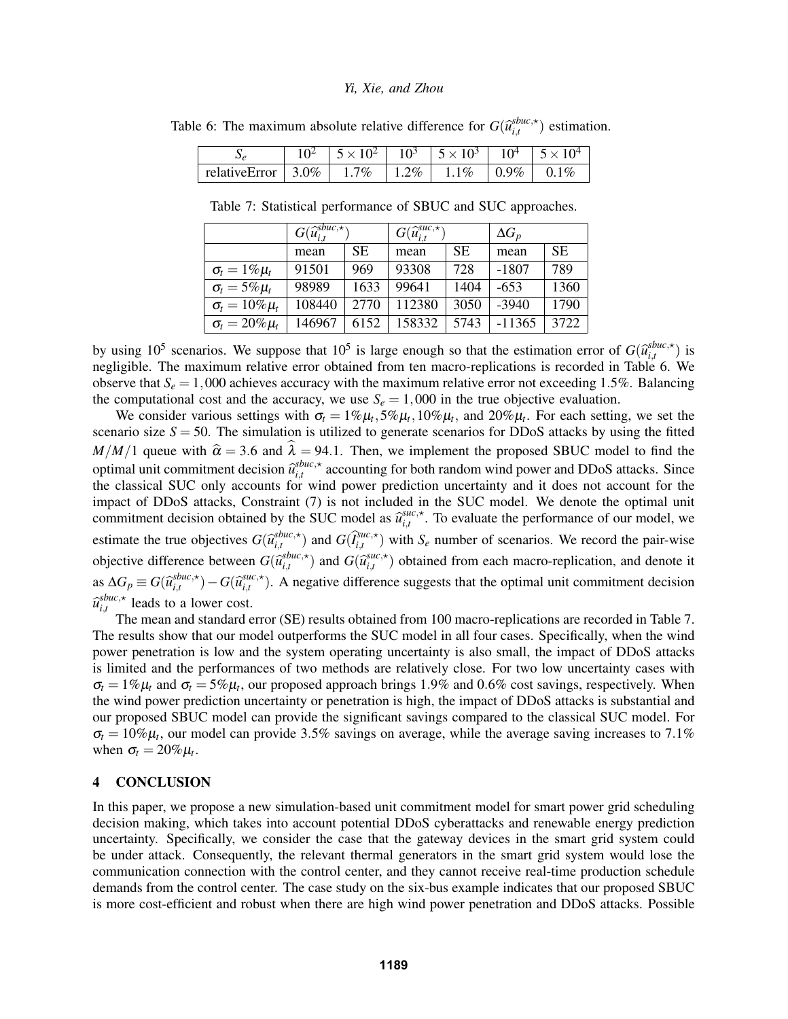|                                                                                               |  | $10^2$   $5 \times 10^2$   $10^3$   $5 \times 10^3$   $10^4$   $5 \times 10^4$ |  |
|-----------------------------------------------------------------------------------------------|--|--------------------------------------------------------------------------------|--|
| relativeError $\vert 3.0\% \vert 1.7\% \vert 1.2\% \vert 1.1\% \vert 0.9\% \vert 0.1\% \vert$ |  |                                                                                |  |

Table 6: The maximum absolute relative difference for  $G(\hat{u}^{shuc,*}_{i,t})$  $\binom{spuc,\star}{i,t}$  estimation.

Table 7: Statistical performance of SBUC and SUC approaches.

|                         | $G(\widehat{u}_{i,t}^{sbuc,\star})$ |      | $G(\widehat{u}_{i,t}^{suc,\star})$ |           | $\Delta G_p$ |           |
|-------------------------|-------------------------------------|------|------------------------------------|-----------|--------------|-----------|
|                         | mean                                | SE.  | mean                               | <b>SE</b> | mean         | <b>SE</b> |
| $\sigma_t = 1\% \mu_t$  | 91501                               | 969  | 93308                              | 728       | $-1807$      | 789       |
| $\sigma_t = 5\% \mu_t$  | 98989                               | 1633 | 99641                              | 1404      | $-653$       | 1360      |
| $\sigma_t = 10\% \mu_t$ | 108440                              | 2770 | 112380                             | 3050      | $-3940$      | 1790      |
| $\sigma_t = 20\% \mu_t$ | 146967                              | 6152 | 158332                             | 5743      | $-11365$     | 3722      |

by using 10<sup>5</sup> scenarios. We suppose that 10<sup>5</sup> is large enough so that the estimation error of  $G(\hat{u}_{i,t}^{sbuc,*})$ <br>peoligible. The maximum relative error obtained from ten macro-replications is recorded in Table 6.  $\binom{spuc,\star}{i,t}$  is negligible. The maximum relative error obtained from ten macro-replications is recorded in Table 6. We observe that  $S_e = 1,000$  achieves accuracy with the maximum relative error not exceeding 1.5%. Balancing the computational cost and the accuracy, we use  $S_e = 1,000$  in the true objective evaluation.

We consider various settings with  $\sigma_t = 1\% \mu_t$ ,  $5\% \mu_t$ ,  $10\% \mu_t$ , and  $20\% \mu_t$ . For each setting, we set the scenario size  $S = 50$ . The simulation is utilized to generate scenarios for DDoS attacks by using the fitted *M*/*M*/1 queue with  $\hat{\alpha} = 3.6$  and  $\hat{\lambda} = 94.1$ . Then, we implement the proposed SBUC model to find the optimal unit commitment decision  $\hat{u}_{i,t}^{sbuc,*}$  $\sum_{i,t}^{spuc,x}$  accounting for both random wind power and DDoS attacks. Since the classical SUC only accounts for wind power prediction uncertainty and it does not account for the impact of DDoS attacks, Constraint (7) is not included in the SUC model. We denote the optimal unit commitment decision obtained by the SUC model as  $\hat{u}_{i,t}^{suc,*}$  $\int_{i,t}^{succ,*}$ . To evaluate the performance of our model, we estimate the true objectives  $G(\hat{u}^{spuc,*}_{i,t})$  ${}_{i,t}^{shuc,\star}$ ) and  $G(\hat{I}_{i,t}^{suc,\star})$  with  $S_e$  number of scenarios. We record the pair-wise objective difference between  $G(\hat{u}_{i,t}^{spuc,\star})$  $\binom{blue, \star}{i,t}$  and  $G(\widehat{u}_{i,t}^{succ, \star})$  $\int_{i,t}^{succ,*}$ ) obtained from each macro-replication, and denote it as  $\Delta G_p$  ≡  $G(\widehat{u}_{i,t}^{shuc,\star})$  $\sum_{i,t}^{sbuc,\star}$ ) − *G*( $\widehat{u}_{i,t}^{suc,\star}$  $\hat{f}_{i,t}^{succ,\star}$ ). A negative difference suggests that the optimal unit commitment decision  $\widehat u_{i,t}^{shuc,\star}$ TI  $\sum_{i,t}^{spuc,\star}$  leads to a lower cost.

The mean and standard error (SE) results obtained from 100 macro-replications are recorded in Table 7. The results show that our model outperforms the SUC model in all four cases. Specifically, when the wind power penetration is low and the system operating uncertainty is also small, the impact of DDoS attacks is limited and the performances of two methods are relatively close. For two low uncertainty cases with  $\sigma_t = 1\% \mu_t$  and  $\sigma_t = 5\% \mu_t$ , our proposed approach brings 1.9% and 0.6% cost savings, respectively. When the wind power prediction uncertainty or penetration is high, the impact of DDoS attacks is substantial and our proposed SBUC model can provide the significant savings compared to the classical SUC model. For  $\sigma_t = 10\% \mu_t$ , our model can provide 3.5% savings on average, while the average saving increases to 7.1% when  $\sigma_t = 20\% \mu_t$ .

### 4 CONCLUSION

In this paper, we propose a new simulation-based unit commitment model for smart power grid scheduling decision making, which takes into account potential DDoS cyberattacks and renewable energy prediction uncertainty. Specifically, we consider the case that the gateway devices in the smart grid system could be under attack. Consequently, the relevant thermal generators in the smart grid system would lose the communication connection with the control center, and they cannot receive real-time production schedule demands from the control center. The case study on the six-bus example indicates that our proposed SBUC is more cost-efficient and robust when there are high wind power penetration and DDoS attacks. Possible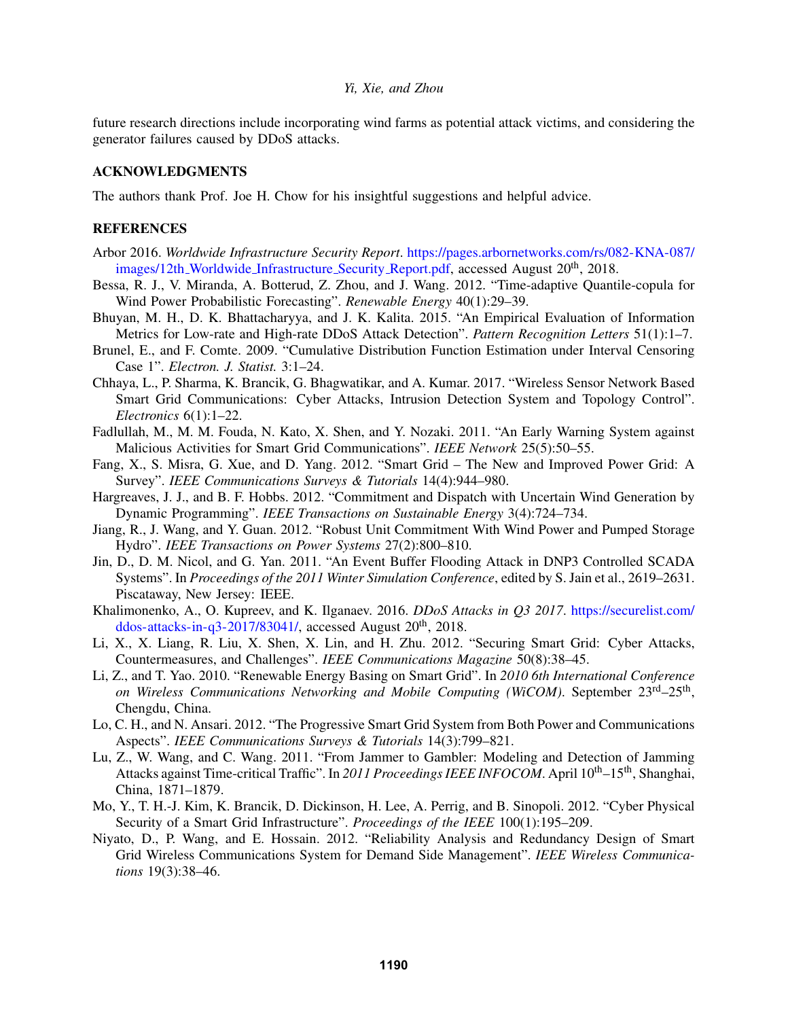future research directions include incorporating wind farms as potential attack victims, and considering the generator failures caused by DDoS attacks.

### ACKNOWLEDGMENTS

The authors thank Prof. Joe H. Chow for his insightful suggestions and helpful advice.

## **REFERENCES**

- Arbor 2016. *Worldwide Infrastructure Security Report*. https://pages.arbornetworks.com/rs/082-KNA-087/ images/12th Worldwide Infrastructure Security Report.pdf, accessed August 20<sup>th</sup>, 2018.
- Bessa, R. J., V. Miranda, A. Botterud, Z. Zhou, and J. Wang. 2012. "Time-adaptive Quantile-copula for Wind Power Probabilistic Forecasting". *Renewable Energy* 40(1):29–39.
- Bhuyan, M. H., D. K. Bhattacharyya, and J. K. Kalita. 2015. "An Empirical Evaluation of Information Metrics for Low-rate and High-rate DDoS Attack Detection". *Pattern Recognition Letters* 51(1):1–7.
- Brunel, E., and F. Comte. 2009. "Cumulative Distribution Function Estimation under Interval Censoring Case 1". *Electron. J. Statist.* 3:1–24.
- Chhaya, L., P. Sharma, K. Brancik, G. Bhagwatikar, and A. Kumar. 2017. "Wireless Sensor Network Based Smart Grid Communications: Cyber Attacks, Intrusion Detection System and Topology Control". *Electronics* 6(1):1–22.
- Fadlullah, M., M. M. Fouda, N. Kato, X. Shen, and Y. Nozaki. 2011. "An Early Warning System against Malicious Activities for Smart Grid Communications". *IEEE Network* 25(5):50–55.
- Fang, X., S. Misra, G. Xue, and D. Yang. 2012. "Smart Grid The New and Improved Power Grid: A Survey". *IEEE Communications Surveys & Tutorials* 14(4):944–980.
- Hargreaves, J. J., and B. F. Hobbs. 2012. "Commitment and Dispatch with Uncertain Wind Generation by Dynamic Programming". *IEEE Transactions on Sustainable Energy* 3(4):724–734.
- Jiang, R., J. Wang, and Y. Guan. 2012. "Robust Unit Commitment With Wind Power and Pumped Storage Hydro". *IEEE Transactions on Power Systems* 27(2):800–810.
- Jin, D., D. M. Nicol, and G. Yan. 2011. "An Event Buffer Flooding Attack in DNP3 Controlled SCADA Systems". In *Proceedings of the 2011 Winter Simulation Conference*, edited by S. Jain et al., 2619–2631. Piscataway, New Jersey: IEEE.
- Khalimonenko, A., O. Kupreev, and K. Ilganaev. 2016. *DDoS Attacks in Q3 2017*. https://securelist.com/ ddos-attacks-in-q3-2017/83041/, accessed August  $20<sup>th</sup>$ , 2018.
- Li, X., X. Liang, R. Liu, X. Shen, X. Lin, and H. Zhu. 2012. "Securing Smart Grid: Cyber Attacks, Countermeasures, and Challenges". *IEEE Communications Magazine* 50(8):38–45.
- Li, Z., and T. Yao. 2010. "Renewable Energy Basing on Smart Grid". In *2010 6th International Conference* on Wireless Communications Networking and Mobile Computing (WiCOM). September 23<sup>rd</sup>-25<sup>th</sup>, Chengdu, China.
- Lo, C. H., and N. Ansari. 2012. "The Progressive Smart Grid System from Both Power and Communications Aspects". *IEEE Communications Surveys & Tutorials* 14(3):799–821.
- Lu, Z., W. Wang, and C. Wang. 2011. "From Jammer to Gambler: Modeling and Detection of Jamming Attacks against Time-critical Traffic". In 2011 Proceedings IEEE INFOCOM. April 10<sup>th</sup>–15<sup>th</sup>, Shanghai, China, 1871–1879.
- Mo, Y., T. H.-J. Kim, K. Brancik, D. Dickinson, H. Lee, A. Perrig, and B. Sinopoli. 2012. "Cyber Physical Security of a Smart Grid Infrastructure". *Proceedings of the IEEE* 100(1):195–209.
- Niyato, D., P. Wang, and E. Hossain. 2012. "Reliability Analysis and Redundancy Design of Smart Grid Wireless Communications System for Demand Side Management". *IEEE Wireless Communications* 19(3):38–46.